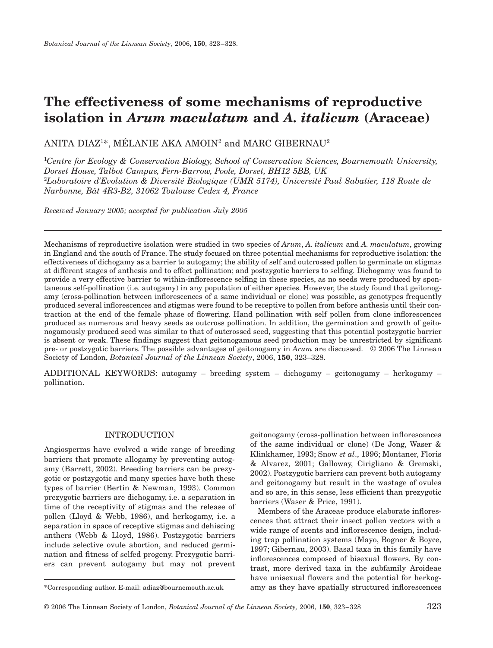# **The effectiveness of some mechanisms of reproductive isolation in** *Arum maculatum* **and** *A. italicum* **(Araceae)**

ANITA DIAZ $^{1\ast}$ , MÉLANIE AKA AMOIN $^{2}$  and MARC GIBERNAU $^{2}$ 

1 *Centre for Ecology & Conservation Biology, School of Conservation Sciences, Bournemouth University, Dorset House, Talbot Campus, Fern-Barrow, Poole, Dorset, BH12 5BB, UK* 2 *Laboratoire d'Evolution & Diversité Biologique (UMR 5174), Université Paul Sabatier, 118 Route de Narbonne, Bât 4R3-B2, 31062 Toulouse Cedex 4, France*

*Received January 2005; accepted for publication July 2005*

Mechanisms of reproductive isolation were studied in two species of *Arum*, *A. italicum* and *A. maculatum*, growing in England and the south of France. The study focused on three potential mechanisms for reproductive isolation: the effectiveness of dichogamy as a barrier to autogamy; the ability of self and outcrossed pollen to germinate on stigmas at different stages of anthesis and to effect pollination; and postzygotic barriers to selfing. Dichogamy was found to provide a very effective barrier to within-inflorescence selfing in these species, as no seeds were produced by spontaneous self-pollination (i.e. autogamy) in any population of either species. However, the study found that geitonogamy (cross-pollination between inflorescences of a same individual or clone) was possible, as genotypes frequently produced several inflorescences and stigmas were found to be receptive to pollen from before anthesis until their contraction at the end of the female phase of flowering. Hand pollination with self pollen from clone inflorescences produced as numerous and heavy seeds as outcross pollination. In addition, the germination and growth of geitonogamously produced seed was similar to that of outcrossed seed, suggesting that this potential postzygotic barrier is absent or weak. These findings suggest that geitonogamous seed production may be unrestricted by significant pre- or postzygotic barriers. The possible advantages of geitonogamy in *Arum* are discussed. © 2006 The Linnean Society of London, *Botanical Journal of the Linnean Society*, 2006, **150**, 323–328.

ADDITIONAL KEYWORDS: autogamy – breeding system – dichogamy – geitonogamy – herkogamy – pollination.

## INTRODUCTION

Angiosperms have evolved a wide range of breeding barriers that promote allogamy by preventing autogamy (Barrett, 2002). Breeding barriers can be prezygotic or postzygotic and many species have both these types of barrier (Bertin & Newman, 1993). Common prezygotic barriers are dichogamy, i.e. a separation in time of the receptivity of stigmas and the release of pollen (Lloyd & Webb, 1986), and herkogamy, i.e. a separation in space of receptive stigmas and dehiscing anthers (Webb & Lloyd, 1986). Postzygotic barriers include selective ovule abortion, and reduced germination and fitness of selfed progeny. Prezygotic barriers can prevent autogamy but may not prevent

\*Corresponding author. E-mail: adiaz@bournemouth.ac.uk

geitonogamy (cross-pollination between inflorescences of the same individual or clone) (De Jong, Waser & Klinkhamer, 1993; Snow *et al*., 1996; Montaner, Floris & Alvarez, 2001; Galloway, Cirigliano & Gremski, 2002). Postzygotic barriers can prevent both autogamy and geitonogamy but result in the wastage of ovules and so are, in this sense, less efficient than prezygotic barriers (Waser & Price, 1991).

Members of the Araceae produce elaborate inflorescences that attract their insect pollen vectors with a wide range of scents and inflorescence design, including trap pollination systems (Mayo, Bogner & Boyce, 1997; Gibernau, 2003). Basal taxa in this family have inflorescences composed of bisexual flowers. By contrast, more derived taxa in the subfamily Aroideae have unisexual flowers and the potential for herkogamy as they have spatially structured inflorescences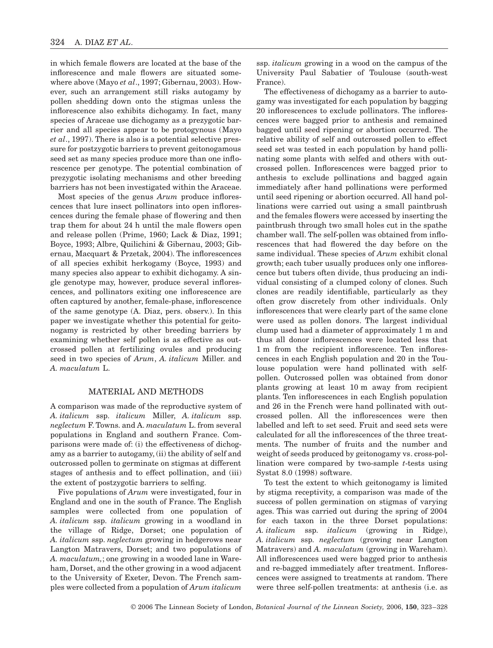in which female flowers are located at the base of the inflorescence and male flowers are situated somewhere above (Mayo *et al*., 1997; Gibernau, 2003). However, such an arrangement still risks autogamy by pollen shedding down onto the stigmas unless the inflorescence also exhibits dichogamy. In fact, many species of Araceae use dichogamy as a prezygotic barrier and all species appear to be protogynous (Mayo *et al*., 1997). There is also is a potential selective pressure for postzygotic barriers to prevent geitonogamous seed set as many species produce more than one inflorescence per genotype. The potential combination of prezygotic isolating mechanisms and other breeding barriers has not been investigated within the Araceae.

Most species of the genus *Arum* produce inflorescences that lure insect pollinators into open inflorescences during the female phase of flowering and then trap them for about 24 h until the male flowers open and release pollen (Prime, 1960; Lack & Diaz, 1991; Boyce, 1993; Albre, Quilichini & Gibernau, 2003; Gibernau, Macquart & Przetak, 2004). The inflorescences of all species exhibit herkogamy (Boyce, 1993) and many species also appear to exhibit dichogamy. A single genotype may, however, produce several inflorescences, and pollinators exiting one inflorescence are often captured by another, female-phase, inflorescence of the same genotype (A. Diaz, pers. observ.). In this paper we investigate whether this potential for geitonogamy is restricted by other breeding barriers by examining whether self pollen is as effective as outcrossed pollen at fertilizing ovules and producing seed in two species of *Arum*, *A. italicum* Miller. and *A. maculatum* L.

## MATERIAL AND METHODS

A comparison was made of the reproductive system of *A. italicum* ssp. *italicum* Miller, *A. italicum* ssp. *neglectum* F. Towns. and A. *maculatum* L. from several populations in England and southern France. Comparisons were made of: (i) the effectiveness of dichogamy as a barrier to autogamy, (ii) the ability of self and outcrossed pollen to germinate on stigmas at different stages of anthesis and to effect pollination, and (iii) the extent of postzygotic barriers to selfing.

Five populations of *Arum* were investigated, four in England and one in the south of France. The English samples were collected from one population of *A. italicum* ssp. *italicum* growing in a woodland in the village of Ridge, Dorset; one population of *A. italicum* ssp. *neglectum* growing in hedgerows near Langton Matravers, Dorset; and two populations of *A. maculatum,*; one growing in a wooded lane in Wareham, Dorset, and the other growing in a wood adjacent to the University of Exeter, Devon. The French samples were collected from a population of *Arum italicum*

ssp. *italicum* growing in a wood on the campus of the University Paul Sabatier of Toulouse (south-west France).

The effectiveness of dichogamy as a barrier to autogamy was investigated for each population by bagging 20 inflorescences to exclude pollinators. The inflorescences were bagged prior to anthesis and remained bagged until seed ripening or abortion occurred. The relative ability of self and outcrossed pollen to effect seed set was tested in each population by hand pollinating some plants with selfed and others with outcrossed pollen. Inflorescences were bagged prior to anthesis to exclude pollinations and bagged again immediately after hand pollinations were performed until seed ripening or abortion occurred. All hand pollinations were carried out using a small paintbrush and the females flowers were accessed by inserting the paintbrush through two small holes cut in the spathe chamber wall. The self-pollen was obtained from inflorescences that had flowered the day before on the same individual. These species of *Arum* exhibit clonal growth; each tuber usually produces only one inflorescence but tubers often divide, thus producing an individual consisting of a clumped colony of clones. Such clones are readily identifiable, particularly as they often grow discretely from other individuals. Only inflorescences that were clearly part of the same clone were used as pollen donors. The largest individual clump used had a diameter of approximately 1 m and thus all donor inflorescences were located less that 1 m from the recipient inflorescence. Ten inflorescences in each English population and 20 in the Toulouse population were hand pollinated with selfpollen. Outcrossed pollen was obtained from donor plants growing at least 10 m away from recipient plants. Ten inflorescences in each English population and 26 in the French were hand pollinated with outcrossed pollen. All the inflorescences were then labelled and left to set seed. Fruit and seed sets were calculated for all the inflorescences of the three treatments. The number of fruits and the number and weight of seeds produced by geitonogamy vs. cross-pollination were compared by two-sample *t*-tests using Systat 8.0 (1998) software.

To test the extent to which geitonogamy is limited by stigma receptivity, a comparison was made of the success of pollen germination on stigmas of varying ages. This was carried out during the spring of 2004 for each taxon in the three Dorset populations: *A. italicum* ssp. *italicum* (growing in Ridge), *A. italicum* ssp. *neglectum* (growing near Langton Matravers) and *A. maculatum* (growing in Wareham). All inflorescences used were bagged prior to anthesis and re-bagged immediately after treatment. Inflorescences were assigned to treatments at random. There were three self-pollen treatments: at anthesis (i.e. as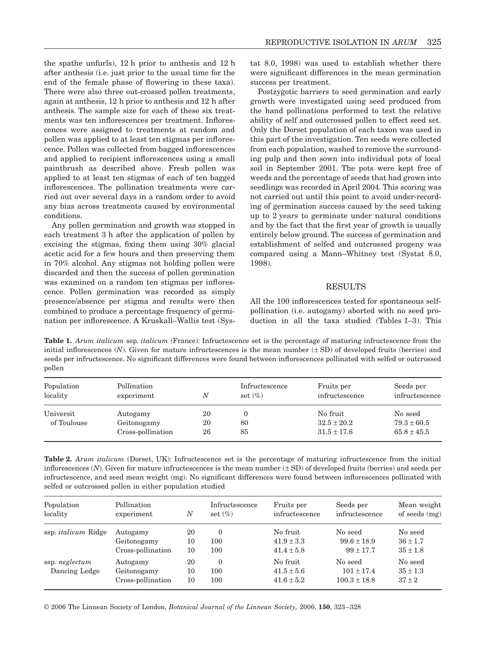the spathe unfurls), 12 h prior to anthesis and 12 h after anthesis (i.e. just prior to the usual time for the end of the female phase of flowering in these taxa). There were also three out-crossed pollen treatments, again at anthesis, 12 h prior to anthesis and 12 h after anthesis. The sample size for each of these six treatments was ten inflorescences per treatment. Inflorescences were assigned to treatments at random and pollen was applied to at least ten stigmas per inflorescence. Pollen was collected from bagged inflorescences and applied to recipient inflorescences using a small paintbrush as described above. Fresh pollen was applied to at least ten stigmas of each of ten bagged inflorescences. The pollination treatments were carried out over several days in a random order to avoid any bias across treatments caused by environmental conditions.

Any pollen germination and growth was stopped in each treatment 3 h after the application of pollen by excising the stigmas, fixing them using 30% glacial acetic acid for a few hours and then preserving them in 70% alcohol. Any stigmas not holding pollen were discarded and then the success of pollen germination was examined on a random ten stigmas per inflorescence. Pollen germination was recorded as simply presence/absence per stigma and results were then combined to produce a percentage frequency of germination per inflorescence. A Kruskall–Wallis test (Systat 8.0, 1998) was used to establish whether there were significant differences in the mean germination success per treatment.

Postzygotic barriers to seed germination and early growth were investigated using seed produced from the hand pollinations performed to test the relative ability of self and outcrossed pollen to effect seed set. Only the Dorset population of each taxon was used in this part of the investigation. Ten seeds were collected from each population, washed to remove the surrounding pulp and then sown into individual pots of local soil in September 2001. The pots were kept free of weeds and the percentage of seeds that had grown into seedlings was recorded in April 2004. This scoring was not carried out until this point to avoid under-recording of germination success caused by the seed taking up to 2 years to germinate under natural conditions and by the fact that the first year of growth is usually entirely below ground. The success of germination and establishment of selfed and outcrossed progeny was compared using a Mann–Whitney test (Systat 8.0, 1998).

#### **RESULTS**

All the 100 inflorescences tested for spontaneous selfpollination (i.e. autogamy) aborted with no seed production in all the taxa studied (Tables 1–3). This

**Table 1.** *Arum italicum* ssp. *italicum* (France): Infructescence set is the percentage of maturing infructescence from the initial inflorescences  $(N)$ . Given for mature infructescences is the mean number  $(\pm SD)$  of developed fruits (berries) and seeds per infructescence. No significant differences were found between inflorescences pollinated with selfed or outcrossed pollen

| Population<br>locality | Pollination<br>experiment | Ν  | Infructescence<br>set $(\% )$ | Fruits per<br>infructescence | Seeds per<br>infructescence |
|------------------------|---------------------------|----|-------------------------------|------------------------------|-----------------------------|
| Universit              | Autogamy                  | 20 |                               | No fruit                     | No seed                     |
| of Toulouse            | Geitonogamy               | 20 | 80                            | $32.5 \pm 20.2$              | $79.3 \pm 60.5$             |
|                        | Cross-pollination         | 26 | 85                            | $31.5 \pm 17.6$              | $65.8 \pm 45.5$             |

**Table 2.** *Arum italicum* (Dorset, UK): Infructescence set is the percentage of maturing infructescence from the initial inflorescences  $(N)$ . Given for mature infructescences is the mean number  $(\pm SD)$  of developed fruits (berries) and seeds per infructescence, and seed mean weight (mg). No significant differences were found between inflorescences pollinated with selfed or outcrossed pollen in either population studied

| Population<br>locality     | Pollination<br>experiment | $\boldsymbol{N}$ | Infructescence<br>set $(\%)$ | Fruits per<br>infructescence | Seeds per<br>infructescence | Mean weight<br>of seeds $(mg)$ |
|----------------------------|---------------------------|------------------|------------------------------|------------------------------|-----------------------------|--------------------------------|
| ssp. <i>italicum</i> Ridge | Autogamy                  | 20               | $\Omega$                     | No fruit                     | No seed                     | No seed                        |
|                            | Geitonogamy               | 10               | 100                          | $41.9 \pm 3.3$               | $99.6 \pm 18.9$             | $36 \pm 1.7$                   |
|                            | Cross-pollination         | 10               | 100                          | $41.4 \pm 5.8$               | $99 \pm 17.7$               | $35 \pm 1.8$                   |
| ssp. neglectum             | Autogamy                  | 20               | $\theta$                     | No fruit                     | No seed                     | No seed                        |
| Dancing Ledge              | Geitonogamy               | 10               | 100                          | $41.5 \pm 5.6$               | $101 \pm 17.4$              | $35 \pm 1.3$                   |
|                            | Cross-pollination         | 10               | 100                          | $41.6 \pm 5.2$               | $100.3 \pm 18.8$            | $37 \pm 2$                     |

© 2006 The Linnean Society of London, *Botanical Journal of the Linnean Society,* 2006, **150**, 323–328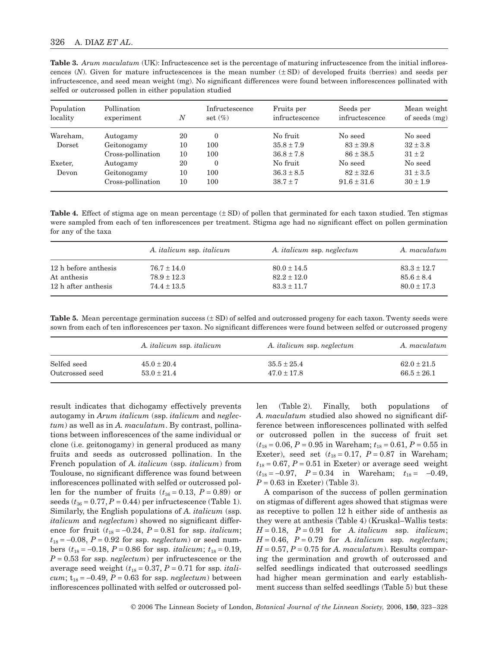| <b>Table 3.</b> Arum maculatum (UK): Infructescence set is the percentage of maturing infructescence from the initial inflores- |
|---------------------------------------------------------------------------------------------------------------------------------|
| cences (N). Given for mature infructescences is the mean number $(\pm SD)$ of developed fruits (berries) and seeds per          |
| infructescence, and seed mean weight (mg). No significant differences were found between inflorescences pollinated with         |
| selfed or outcrossed pollen in either population studied                                                                        |

| Population<br>locality | Pollination<br>experiment | $_{N}$ | Infructescence<br>set $(\% )$ | Fruits per<br>infructescence | Seeds per<br>infructescence | Mean weight<br>of seeds $(mg)$ |
|------------------------|---------------------------|--------|-------------------------------|------------------------------|-----------------------------|--------------------------------|
| Wareham,               | Autogamy                  | 20     | $\Omega$                      | No fruit                     | No seed                     | No seed                        |
| Dorset                 | Geitonogamy               | 10     | 100                           | $35.8 \pm 7.9$               | $83 \pm 39.8$               | $32 \pm 3.8$                   |
|                        | Cross-pollination         | 10     | 100                           | $36.8 \pm 7.8$               | $86 \pm 38.5$               | $31 \pm 2$                     |
| Exeter,                | Autogamy                  | 20     | $\theta$                      | No fruit                     | No seed                     | No seed                        |
| Devon                  | Geitonogamy               | 10     | 100                           | $36.3 \pm 8.5$               | $82 \pm 32.6$               | $31 \pm 3.5$                   |
|                        | Cross-pollination         | 10     | 100                           | $38.7 \pm 7$                 | $91.6 \pm 31.6$             | $30 \pm 1.9$                   |

**Table 4.** Effect of stigma age on mean percentage (± SD) of pollen that germinated for each taxon studied. Ten stigmas were sampled from each of ten inflorescences per treatment. Stigma age had no significant effect on pollen germination for any of the taxa

|                      | A. <i>italicum</i> ssp. <i>italicum</i> | A. <i>italicum</i> ssp. <i>neglectum</i> | A. maculatum    |
|----------------------|-----------------------------------------|------------------------------------------|-----------------|
| 12 h before anthesis | $76.7 \pm 14.0$                         | $80.0 \pm 14.5$                          | $83.3 \pm 12.7$ |
| At anthesis          | $78.9 \pm 12.3$                         | $82.2 \pm 12.0$                          | $85.6 \pm 8.4$  |
| 12 h after anthesis  | $74.4 \pm 13.5$                         | $83.3 \pm 11.7$                          | $80.0 \pm 17.3$ |

**Table 5.** Mean percentage germination success (± SD) of selfed and outcrossed progeny for each taxon. Twenty seeds were sown from each of ten inflorescences per taxon. No significant differences were found between selfed or outcrossed progeny

|                 | A. <i>italicum</i> ssp. <i>italicum</i> | A. <i>italicum</i> ssp. <i>neglectum</i> | A. maculatum    |  |
|-----------------|-----------------------------------------|------------------------------------------|-----------------|--|
| Selfed seed     | $45.0 \pm 20.4$                         | $35.5 \pm 25.4$                          | $62.0 \pm 21.5$ |  |
| Outcrossed seed | $53.0 \pm 21.4$                         | $47.0 \pm 17.8$                          | $66.5 \pm 26.1$ |  |

result indicates that dichogamy effectively prevents autogamy in *Arum italicum* (ssp. *italicum* and *neglectum*) as well as in *A. maculatum*. By contrast, pollinations between inflorescences of the same individual or clone (i.e. geitonogamy) in general produced as many fruits and seeds as outcrossed pollination. In the French population of *A. italicum* (ssp. *italicum*) from Toulouse, no significant difference was found between inflorescences pollinated with selfed or outcrossed pollen for the number of fruits  $(t_{36} = 0.13, P = 0.89)$  or seeds  $(t_{36} = 0.77, P = 0.44)$  per infructescence (Table 1). Similarly, the English populations of *A. italicum* (ssp. *italicum* and *neglectum*) showed no significant difference for fruit  $(t_{18} = -0.24, P = 0.81$  for ssp. *italicum*;  $t_{18} = -0.08$ ,  $P = 0.92$  for ssp. *neglectum*) or seed numbers  $(t_{18} = -0.18, P = 0.86$  for ssp. *italicum*;  $t_{18} = 0.19$ , *P* = 0.53 for ssp. *neglectum*) per infructescence or the average seed weight  $(t_{18} = 0.37, P = 0.71$  for ssp. *italicum*;  $t_{18} = -0.49$ , *P* = 0.63 for ssp. *neglectum*) between inflorescences pollinated with selfed or outcrossed pollen (Table 2). Finally, both populations of *A. maculatum* studied also showed no significant difference between inflorescences pollinated with selfed or outcrossed pollen in the success of fruit set  $(t_{18} = 0.06, P = 0.95$  in Wareham;  $t_{18} = 0.61, P = 0.55$  in Exeter), seed set  $(t_{18} = 0.17, P = 0.87$  in Wareham;  $t_{18} = 0.67$ ,  $P = 0.51$  in Exeter) or average seed weight ( $t_{18}$  = −0.97, *P* = 0.34 in Wareham;  $t_{18}$  = −0.49,  $P = 0.63$  in Exeter) (Table 3).

A comparison of the success of pollen germination on stigmas of different ages showed that stigmas were as receptive to pollen 12 h either side of anthesis as they were at anthesis (Table 4) (Kruskal–Wallis tests:  $H = 0.18$ ,  $P = 0.91$  for *A. italicum* ssp. *italicum*;  $H = 0.46$ ,  $P = 0.79$  for *A. italicum* ssp. *neglectum*;  $H = 0.57$ ,  $P = 0.75$  for *A. maculatum*). Results comparing the germination and growth of outcrossed and selfed seedlings indicated that outcrossed seedlings had higher mean germination and early establishment success than selfed seedlings (Table 5) but these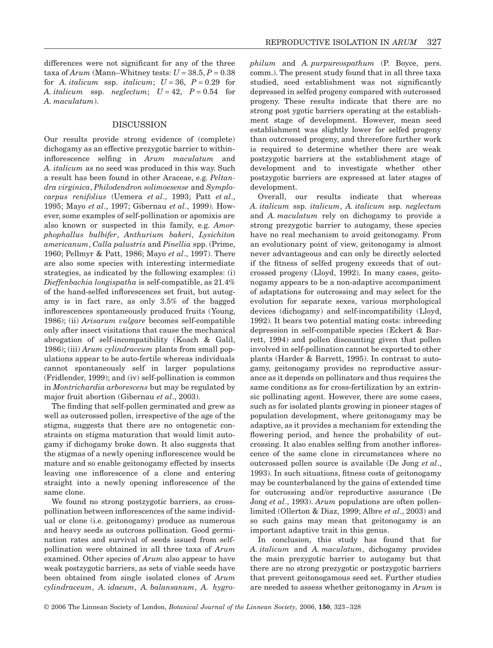## DISCUSSION

*A. maculatum*).

Our results provide strong evidence of (complete) dichogamy as an effective prezygotic barrier to withininflorescence selfing in *Arum maculatum* and *A. italicum* as no seed was produced in this way. Such a result has been found in other Araceae, e.g. *Peltandra virginica*, *Philodendron solimoesense* and *Symplocarpus renifolius* (Uemera *et al*., 1993; Patt *et al*., 1995; Mayo *et al*., 1997; Gibernau *et al*., 1999). However, some examples of self-pollination or apomixis are also known or suspected in this family, e.g. *Amorphophallus bulbifer*, *Anthurium bakeri*, *Lysichiton americanum*, *Calla palustris* and *Pinellia* spp. (Prime, 1960; Pellmyr & Patt, 1986; Mayo *et al*., 1997). There are also some species with interesting intermediate strategies, as indicated by the following examples: (i) *Dieffenbachia longispatha* is self-compatible, as 21.4% of the hand-selfed inflorescences set fruit, but autogamy is in fact rare, as only 3.5% of the bagged inflorescences spontaneously produced fruits (Young, 1986); (ii) *Arisarum vulgare* becomes self-compatible only after insect visitations that cause the mechanical abrogation of self-incompatibility (Koach & Galil, 1986); (iii) *Arum cylindraceum* plants from small populations appear to be auto-fertile whereas individuals cannot spontaneously self in larger populations (Fridlender, 1999); and (iv) self-pollination is common in *Montrichardia arborescens* but may be regulated by major fruit abortion (Gibernau *et al*., 2003).

The finding that self-pollen germinated and grew as well as outcrossed pollen, irrespective of the age of the stigma, suggests that there are no ontogenetic constraints on stigma maturation that would limit autogamy if dichogamy broke down. It also suggests that the stigmas of a newly opening inflorescence would be mature and so enable geitonogamy effected by insects leaving one inflorescence of a clone and entering straight into a newly opening inflorescence of the same clone.

We found no strong postzygotic barriers, as crosspollination between inflorescences of the same individual or clone (i.e. geitonogamy) produce as numerous and heavy seeds as outcross pollination. Good germination rates and survival of seeds issued from selfpollination were obtained in all three taxa of *Arum* examined. Other species of *Arum* also appear to have weak postzygotic barriers, as sets of viable seeds have been obtained from single isolated clones of *Arum cylindraceum*, *A. idaeum*, *A. balansanum*, *A. hygro-* *philum* and *A. purpureospathum* (P. Boyce, pers. comm.). The present study found that in all three taxa studied, seed establishment was not significantly depressed in selfed progeny compared with outcrossed progeny. These results indicate that there are no strong post ygotic barriers operating at the establishment stage of development. However, mean seed establishment was slightly lower for selfed progeny than outcrossed progeny, and threrefore further work is required to determine whether there are weak postzygotic barriers at the establishment stage of development and to investigate whether other postzygotic barriers are expressed at later stages of development.

Overall, our results indicate that whereas *A. italicum* ssp. *italicum*, *A. italicum* ssp. *neglectum* and *A. maculatum* rely on dichogamy to provide a strong prezygotic barrier to autogamy, these species have no real mechanism to avoid geitonogamy. From an evolutionary point of view, geitonogamy is almost never advantageous and can only be directly selected if the fitness of selfed progeny exceeds that of outcrossed progeny (Lloyd, 1992). In many cases, geitonogamy appears to be a non-adaptive accompaniment of adaptations for outcrossing and may select for the evolution for separate sexes, various morphological devices (dichogamy) and self-incompatibility (Lloyd, 1992). It bears two potential mating costs: inbreeding depression in self-compatible species (Eckert & Barrett, 1994) and pollen discounting given that pollen involved in self-pollination cannot be exported to other plants (Harder & Barrett, 1995). In contrast to autogamy, geitonogamy provides no reproductive assurance as it depends on pollinators and thus requires the same conditions as for cross-fertilization by an extrinsic pollinating agent. However, there are some cases, such as for isolated plants growing in pioneer stages of population development, where geitonogamy may be adaptive, as it provides a mechanism for extending the flowering period, and hence the probability of outcrossing. It also enables selfing from another inflorescence of the same clone in circumstances where no outcrossed pollen source is available (De Jong *et al*., 1993). In such situations, fitness costs of geitonogamy may be counterbalanced by the gains of extended time for outcrossing and/or reproductive assurance (De Jong *et al*., 1993). *Arum* populations are often pollenlimited (Ollerton & Diaz, 1999; Albre *et al*., 2003) and so such gains may mean that geitonogamy is an important adaptive trait in this genus.

In conclusion, this study has found that for *A. italicum* and *A. maculatum*, dichogamy provides the main prezygotic barrier to autogamy but that there are no strong prezygotic or postzygotic barriers that prevent geitonogamous seed set. Further studies are needed to assess whether geitonogamy in *Arum* is